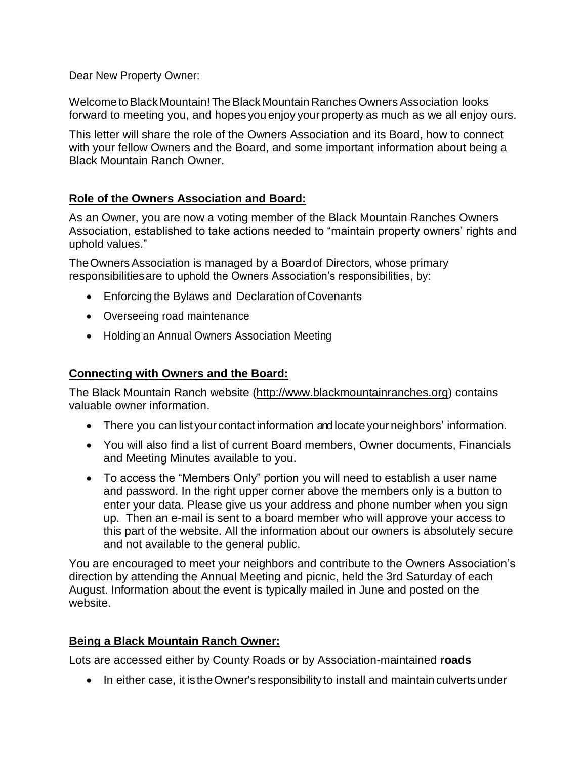Dear New Property Owner:

Welcome to Black Mountain! The Black Mountain Ranches Owners Association looks forward to meeting you, and hopes you enjoy your property as much as we all enjoy ours.

This letter will share the role of the Owners Association and its Board, how to connect with your fellow Owners and the Board, and some important information about being a Black Mountain Ranch Owner.

## **Role of the Owners Association and Board:**

As an Owner, you are now a voting member of the Black Mountain Ranches Owners Association, established to take actions needed to "maintain property owners' rights and uphold values."

The Owners Association is managed by a Board of Directors, whose primary responsibilitiesare to uphold the Owners Association's responsibilities, by:

- Enforcing the Bylaws and Declaration of Covenants
- Overseeing road maintenance
- Holding an Annual Owners Association Meeting

## **Connecting with Owners and the Board:**

The Black Mountain Ranch website [\(http://www.blackmountainranches.org\)](http://www.blackmountainranches.org/) contains valuable owner information.

- There you can list your contact information and locate your neighbors' information.
- You will also find a list of current Board members, Owner documents, Financials and Meeting Minutes available to you.
- To access the "Members Only" portion you will need to establish a user name and password. In the right upper corner above the members only is a button to enter your data. Please give us your address and phone number when you sign up. Then an e-mail is sent to a board member who will approve your access to this part of the website. All the information about our owners is absolutely secure and not available to the general public.

You are encouraged to meet your neighbors and contribute to the Owners Association's direction by attending the Annual Meeting and picnic, held the 3rd Saturday of each August. Information about the event is typically mailed in June and posted on the website.

## **Being a Black Mountain Ranch Owner:**

Lots are accessed either by County Roads or by Association-maintained **roads**

• In either case, it is the Owner's responsibility to install and maintain culverts under